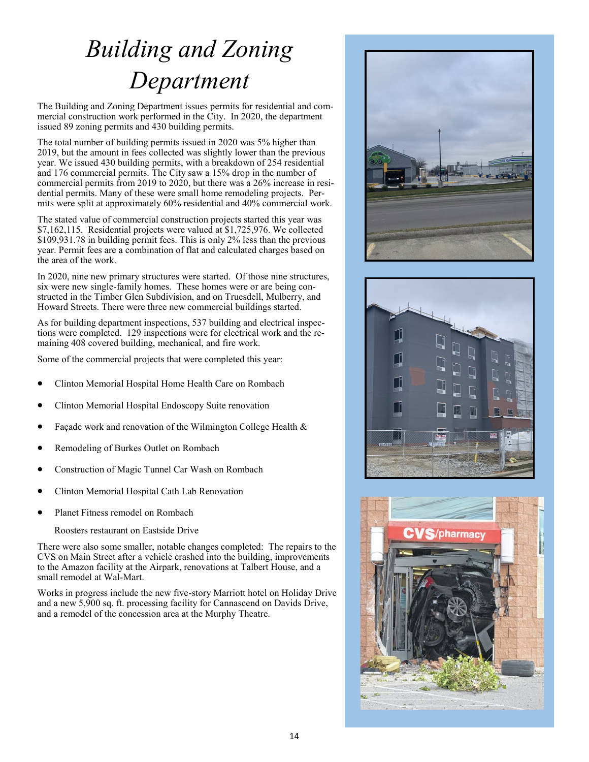## *Building and Zoning Department*

The Building and Zoning Department issues permits for residential and commercial construction work performed in the City. In 2020, the department issued 89 zoning permits and 430 building permits.

The total number of building permits issued in 2020 was 5% higher than 2019, but the amount in fees collected was slightly lower than the previous year. We issued 430 building permits, with a breakdown of 254 residential and 176 commercial permits. The City saw a 15% drop in the number of commercial permits from 2019 to 2020, but there was a 26% increase in residential permits. Many of these were small home remodeling projects. Permits were split at approximately 60% residential and 40% commercial work.

The stated value of commercial construction projects started this year was \$7,162,115. Residential projects were valued at \$1,725,976. We collected \$109,931.78 in building permit fees. This is only 2% less than the previous year. Permit fees are a combination of flat and calculated charges based on the area of the work.

In 2020, nine new primary structures were started. Of those nine structures, six were new single-family homes. These homes were or are being constructed in the Timber Glen Subdivision, and on Truesdell, Mulberry, and Howard Streets. There were three new commercial buildings started.

As for building department inspections, 537 building and electrical inspections were completed. 129 inspections were for electrical work and the remaining 408 covered building, mechanical, and fire work.

Some of the commercial projects that were completed this year:

- Clinton Memorial Hospital Home Health Care on Rombach
- Clinton Memorial Hospital Endoscopy Suite renovation
- Façade work and renovation of the Wilmington College Health &
- Remodeling of Burkes Outlet on Rombach
- Construction of Magic Tunnel Car Wash on Rombach
- Clinton Memorial Hospital Cath Lab Renovation
- Planet Fitness remodel on Rombach

Roosters restaurant on Eastside Drive

There were also some smaller, notable changes completed: The repairs to the CVS on Main Street after a vehicle crashed into the building, improvements to the Amazon facility at the Airpark, renovations at Talbert House, and a small remodel at Wal-Mart.

Works in progress include the new five-story Marriott hotel on Holiday Drive and a new 5,900 sq. ft. processing facility for Cannascend on Davids Drive, and a remodel of the concession area at the Murphy Theatre.